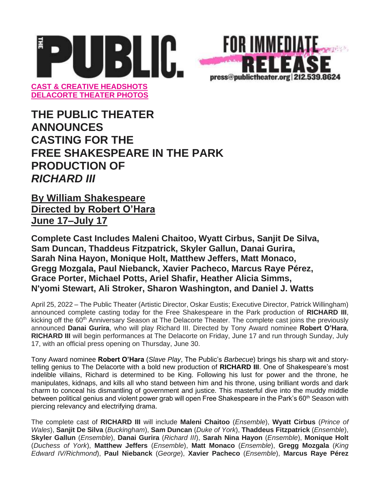

**THE PUBLIC THEATER ANNOUNCES CASTING FOR THE FREE SHAKESPEARE IN THE PARK PRODUCTION OF** *RICHARD III*

**By William Shakespeare Directed by Robert O'Hara June 17–July 17**

**Complete Cast Includes Maleni Chaitoo, Wyatt Cirbus, Sanjit De Silva, Sam Duncan, Thaddeus Fitzpatrick, Skyler Gallun, Danai Gurira, Sarah Nina Hayon, Monique Holt, Matthew Jeffers, Matt Monaco, Gregg Mozgala, Paul Niebanck, Xavier Pacheco, Marcus Raye Pérez, Grace Porter, Michael Potts, Ariel Shafir, Heather Alicia Simms, N'yomi Stewart, Ali Stroker, Sharon Washington, and Daniel J. Watts**

April 25, 2022 – The Public Theater (Artistic Director, Oskar Eustis; Executive Director, Patrick Willingham) announced complete casting today for the Free Shakespeare in the Park production of **RICHARD III**, kicking off the 60<sup>th</sup> Anniversary Season at The Delacorte Theater. The complete cast joins the previously announced **Danai Gurira**, who will play Richard III. Directed by Tony Award nominee **Robert O'Hara**, **RICHARD III** will begin performances at The Delacorte on Friday, June 17 and run through Sunday, July 17, with an official press opening on Thursday, June 30.

Tony Award nominee **Robert O'Hara** (*Slave Play*, The Public's *Barbecue*) brings his sharp wit and storytelling genius to The Delacorte with a bold new production of **RICHARD III**. One of Shakespeare's most indelible villains, Richard is determined to be King. Following his lust for power and the throne, he manipulates, kidnaps, and kills all who stand between him and his throne, using brilliant words and dark charm to conceal his dismantling of government and justice. This masterful dive into the muddy middle between political genius and violent power grab will open Free Shakespeare in the Park's 60<sup>th</sup> Season with piercing relevancy and electrifying drama.

The complete cast of **RICHARD III** will include **Maleni Chaitoo** (*Ensemble*), **Wyatt Cirbus** (*Prince of Wales*), **Sanjit De Silva** (*Buckingham*), **Sam Duncan** (*Duke of York*), **Thaddeus Fitzpatrick** (*Ensemble*), **Skyler Gallun** (*Ensemble*), **Danai Gurira** (*Richard III*), **Sarah Nina Hayon** (*Ensemble*), **Monique Holt**  (*Duchess of York*), **Matthew Jeffers** (*Ensemble*), **Matt Monaco** (*Ensemble*), **Gregg Mozgala** (*King Edward IV/Richmond*), **Paul Niebanck** (*George*), **Xavier Pacheco** (*Ensemble*), **Marcus Raye Pérez**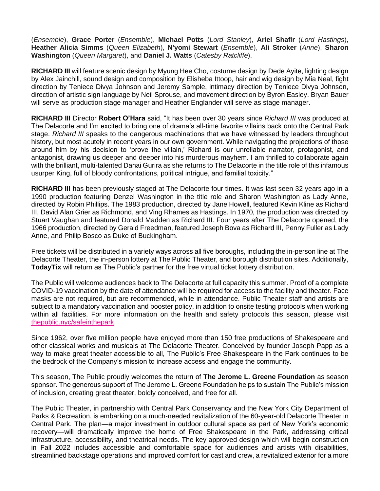(*Ensemble*), **Grace Porter** (*Ensemble*), **Michael Potts** (*Lord Stanley*), **Ariel Shafir** (*Lord Hastings*), **Heather Alicia Simms** (*Queen Elizabeth*), **N'yomi Stewart** (*Ensemble*), **Ali Stroker** (*Anne*), **Sharon Washington** (*Queen Margaret*), and **Daniel J. Watts** (*Catesby Ratcliffe*).

**RICHARD III** will feature scenic design by Myung Hee Cho, costume design by Dede Ayite, lighting design by Alex Jainchill, sound design and composition by Elisheba Ittoop, hair and wig design by Mia Neal, fight direction by Teniece Divya Johnson and Jeremy Sample, intimacy direction by Teniece Divya Johnson, direction of artistic sign language by Neil Sprouse, and movement direction by Byron Easley. Bryan Bauer will serve as production stage manager and Heather Englander will serve as stage manager.

**RICHARD III** Director **Robert O'Hara** said, "It has been over 30 years since *Richard III* was produced at The Delacorte and I'm excited to bring one of drama's all-time favorite villains back onto the Central Park stage. *Richard III* speaks to the dangerous machinations that we have witnessed by leaders throughout history, but most acutely in recent years in our own government. While navigating the projections of those around him by his decision to 'prove the villain,' Richard is our unreliable narrator, protagonist, and antagonist, drawing us deeper and deeper into his murderous mayhem. I am thrilled to collaborate again with the brilliant, multi-talented Danai Gurira as she returns to The Delacorte in the title role of this infamous usurper King, full of bloody confrontations, political intrigue, and familial toxicity."

**RICHARD III** has been previously staged at The Delacorte four times. It was last seen 32 years ago in a 1990 production featuring Denzel Washington in the title role and Sharon Washington as Lady Anne, directed by Robin Phillips. The 1983 production, directed by Jane Howell, featured Kevin Kline as Richard III, David Alan Grier as Richmond, and Ving Rhames as Hastings. In 1970, the production was directed by Stuart Vaughan and featured Donald Madden as Richard III. Four years after The Delacorte opened, the 1966 production, directed by Gerald Freedman, featured Joseph Bova as Richard III, Penny Fuller as Lady Anne, and Philip Bosco as Duke of Buckingham.

Free tickets will be distributed in a variety ways across all five boroughs, including the in-person line at The Delacorte Theater, the in-person lottery at The Public Theater, and borough distribution sites. Additionally, **TodayTix** will return as The Public's partner for the free virtual ticket lottery distribution.

The Public will welcome audiences back to The Delacorte at full capacity this summer. Proof of a complete COVID-19 vaccination by the date of attendance will be required for access to the facility and theater. Face masks are not required, but are recommended, while in attendance. Public Theater staff and artists are subject to a mandatory vaccination and booster policy, in addition to onsite testing protocols when working within all facilities. For more information on the health and safety protocols this season, please visi[t](http://thepublic.nyc/safeinthepark) [thepublic.nyc/safeinthepark.](http://thepublic.nyc/safeinthepark)

Since 1962, over five million people have enjoyed more than 150 free productions of Shakespeare and other classical works and musicals at The Delacorte Theater. Conceived by founder Joseph Papp as a way to make great theater accessible to all, The Public's Free Shakespeare in the Park continues to be the bedrock of the Company's mission to increase access and engage the community.

This season, The Public proudly welcomes the return of **The Jerome L. Greene Foundation** as season sponsor. The generous support of The Jerome L. Greene Foundation helps to sustain The Public's mission of inclusion, creating great theater, boldly conceived, and free for all.

The Public Theater, in partnership with Central Park Conservancy and the New York City Department of Parks & Recreation, is embarking on a much-needed revitalization of the 60-year-old Delacorte Theater in Central Park. The plan—a major investment in outdoor cultural space as part of New York's economic recovery—will dramatically improve the home of Free Shakespeare in the Park, addressing critical infrastructure, accessibility, and theatrical needs. The key approved design which will begin construction in Fall 2022 includes accessible and comfortable space for audiences and artists with disabilities, streamlined backstage operations and improved comfort for cast and crew, a revitalized exterior for a more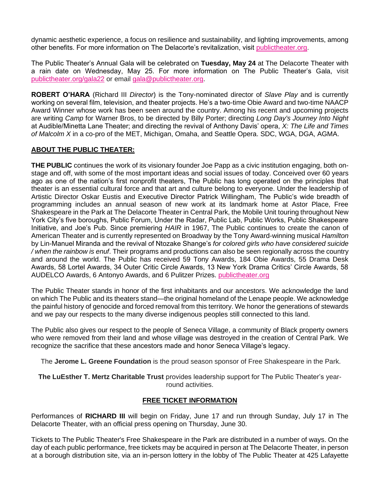dynamic aesthetic experience, a focus on resilience and sustainability, and lighting improvements, among other benefits. For more information on The Delacorte's revitalization, visit [publictheater.org.](https://publictheater.org/news-items/fall-2021/delacorte-theater-revitalization/)

The Public Theater's Annual Gala will be celebrated on **Tuesday, May 24** at The Delacorte Theater with a rain date on Wednesday, May 25. For more information on The Public Theater's Gala, visi[t](http://www.publictheater.org/gala22) [publictheater.org/gala22](http://www.publictheater.org/gala22) or email gala@publictheater.org.

**ROBERT O'HARA** (Richard III *Director*) is the Tony-nominated director of *Slave Play* and is currently working on several film, television, and theater projects. He's a two-time Obie Award and two-time NAACP Award Winner whose work has been seen around the country. Among his recent and upcoming projects are writing *Camp* for Warner Bros, to be directed by Billy Porter; directing *Long Day's Journey Into Night* at Audible/Minetta Lane Theater; and directing the revival of Anthony Davis' opera, *X: The Life and Times of Malcolm X* in a co-pro of the MET, Michigan, Omaha, and Seattle Opera. SDC, WGA, DGA, AGMA.

## **ABOUT THE PUBLIC THEATER:**

**THE PUBLIC** continues the work of its visionary founder Joe Papp as a civic institution engaging, both onstage and off, with some of the most important ideas and social issues of today. Conceived over 60 years ago as one of the nation's first nonprofit theaters, The Public has long operated on the principles that theater is an essential cultural force and that art and culture belong to everyone. Under the leadership of Artistic Director Oskar Eustis and Executive Director Patrick Willingham, The Public's wide breadth of programming includes an annual season of new work at its landmark home at Astor Place, Free Shakespeare in the Park at The Delacorte Theater in Central Park, the Mobile Unit touring throughout New York City's five boroughs, Public Forum, Under the Radar, Public Lab, Public Works, Public Shakespeare Initiative, and Joe's Pub. Since premiering *HAIR* in 1967, The Public continues to create the canon of American Theater and is currently represented on Broadway by the Tony Award-winning musical *Hamilton*  by Lin-Manuel Miranda and the revival of Ntozake Shange's *for colored girls who have considered suicide / when the rainbow is enuf*. Their programs and productions can also be seen regionally across the country and around the world. The Public has received 59 Tony Awards, 184 Obie Awards, 55 Drama Desk Awards, 58 Lortel Awards, 34 Outer Critic Circle Awards, 13 New York Drama Critics' Circle Awards, 58 AUDELCO Awards, 6 Antonyo Awards, and 6 Pulitzer Prizes[.](http://publictheater.org/) [publictheater.org](http://publictheater.org/)

The Public Theater stands in honor of the first inhabitants and our ancestors. We acknowledge the land on which The Public and its theaters stand—the original homeland of the Lenape people. We acknowledge the painful history of genocide and forced removal from this territory. We honor the generations of stewards and we pay our respects to the many diverse indigenous peoples still connected to this land.

The Public also gives our respect to the people of Seneca Village, a community of Black property owners who were removed from their land and whose village was destroyed in the creation of Central Park. We recognize the sacrifice that these ancestors made and honor Seneca Village's legacy.

The **Jerome L. Greene Foundation** is the proud season sponsor of Free Shakespeare in the Park.

**The LuEsther T. Mertz Charitable Trust** provides leadership support for The Public Theater's yearround activities.

## **FREE TICKET INFORMATION**

Performances of **RICHARD III** will begin on Friday, June 17 and run through Sunday, July 17 in The Delacorte Theater, with an official press opening on Thursday, June 30.

Tickets to The Public Theater's Free Shakespeare in the Park are distributed in a number of ways. On the day of each public performance, free tickets may be acquired in person at The Delacorte Theater, in person at a borough distribution site, via an in-person lottery in the lobby of The Public Theater at 425 Lafayette